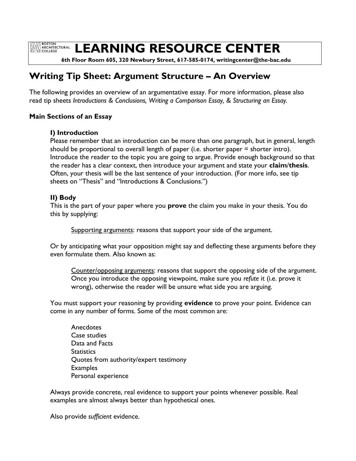**EXAMPLE BOSTON<br>ARCHITECTURAL**<br>COLLEGE

**LEARNING RESOURCE CENTER**

 **6th Floor Room 605, 320 Newbury Street, 617-585-0174, writingcenter@the-bac.edu**

# **Writing Tip Sheet: Argument Structure – An Overview**

The following provides an overview of an argumentative essay. For more information, please also read tip sheets *Introductions & Conclusions, Writing a Comparison Essay, & Structuring an Essay.*

#### **Main Sections of an Essay**

#### **I) Introduction**

Please remember that an introduction can be more than one paragraph, but in general, length should be proportional to overall length of paper (i.e. shorter paper = shorter intro). Introduce the reader to the topic you are going to argue. Provide enough background so that the reader has a clear context, then introduce your argument and state your **claim**/**thesis**. Often, your thesis will be the last sentence of your introduction. (For more info, see tip sheets on "Thesis" and "Introductions & Conclusions.")

### **II) Body**

This is the part of your paper where you **prove** the claim you make in your thesis. You do this by supplying:

Supporting arguments: reasons that support your side of the argument.

Or by anticipating what your opposition might say and deflecting these arguments before they even formulate them. Also known as:

Counter/opposing arguments: reasons that support the opposing side of the argument. Once you introduce the opposing viewpoint, make sure you *refute* it (i.e. prove it wrong), otherwise the reader will be unsure what side you are arguing.

You must support your reasoning by providing **evidence** to prove your point. Evidence can come in any number of forms. Some of the most common are:

**Anecdotes** Case studies Data and Facts **Statistics** Quotes from authority/expert testimony **Examples** Personal experience

Always provide concrete, real evidence to support your points whenever possible. Real examples are almost always better than hypothetical ones.

Also provide *sufficient* evidence.